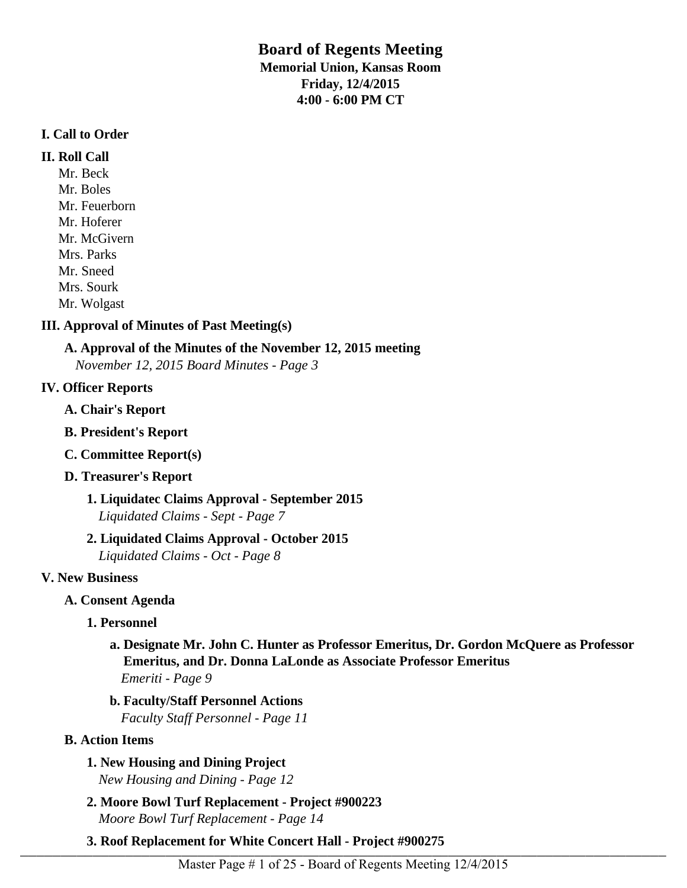# **Board of Regents Meeting Memorial Union, Kansas Room Friday, 12/4/2015**

**4:00 - 6:00 PM CT**

## **I. Call to Order**

## **II. Roll Call**

Mr. Beck Mr. Boles Mr. Feuerborn Mr. Hoferer Mr. McGivern Mrs. Parks Mr. Sneed Mrs. Sourk Mr. Wolgast

# **III. Approval of Minutes of Past Meeting(s)**

# **A. Approval of the Minutes of the November 12, 2015 meeting**

*November 12, 2015 Board Minutes - Page 3* 

# **IV. Officer Reports**

- **A. Chair's Report**
- **B. President's Report**
- **C. Committee Report(s)**

# **D. Treasurer's Report**

**1. Liquidatec Claims Approval - September 2015** *Liquidated Claims - Sept - Page 7* 

# **2. Liquidated Claims Approval - October 2015**

*Liquidated Claims - Oct - Page 8* 

# **V. New Business**

# **A. Consent Agenda**

# **1. Personnel**

# **a. Designate Mr. John C. Hunter as Professor Emeritus, Dr. Gordon McQuere as Professor Emeritus, and Dr. Donna LaLonde as Associate Professor Emeritus** *Emeriti - Page 9*

**b. Faculty/Staff Personnel Actions** *Faculty Staff Personnel - Page 11* 

# **B. Action Items**

# **1. New Housing and Dining Project**

*New Housing and Dining - Page 12* 

- **2. Moore Bowl Turf Replacement Project #900223** *Moore Bowl Turf Replacement - Page 14*
- **3. Roof Replacement for White Concert Hall Project #900275**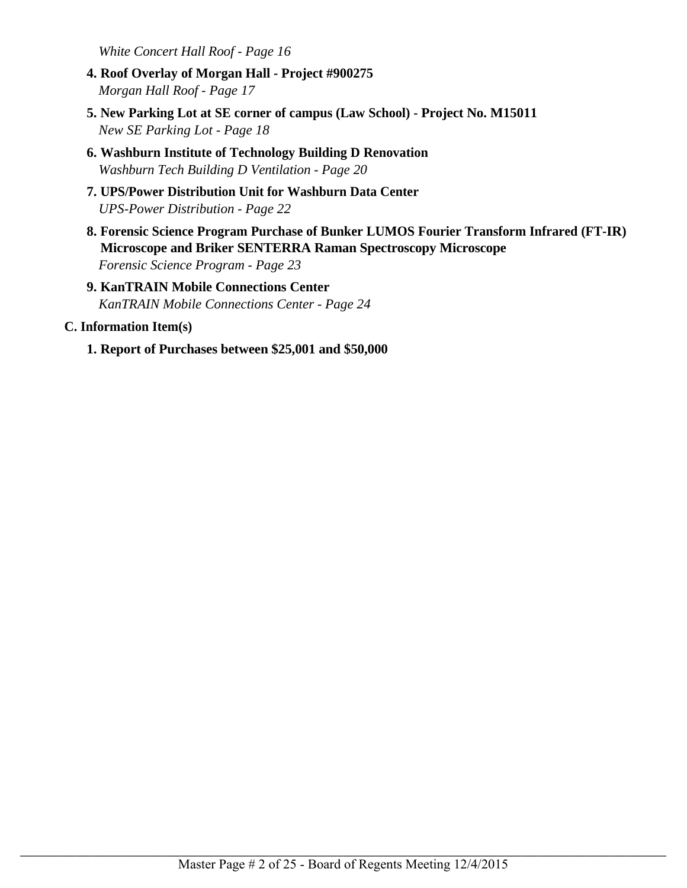*White Concert Hall Roof - Page 16* 

- **4. Roof Overlay of Morgan Hall Project #900275** *Morgan Hall Roof - Page 17*
- **5. New Parking Lot at SE corner of campus (Law School) Project No. M15011** *New SE Parking Lot - Page 18*
- **6. Washburn Institute of Technology Building D Renovation** *Washburn Tech Building D Ventilation - Page 20*
- **7. UPS/Power Distribution Unit for Washburn Data Center** *UPS-Power Distribution - Page 22*
- **8. Forensic Science Program Purchase of Bunker LUMOS Fourier Transform Infrared (FT-IR) Microscope and Briker SENTERRA Raman Spectroscopy Microscope** *Forensic Science Program - Page 23*
- **9. KanTRAIN Mobile Connections Center** *KanTRAIN Mobile Connections Center - Page 24*

## **C. Information Item(s)**

**1. Report of Purchases between \$25,001 and \$50,000**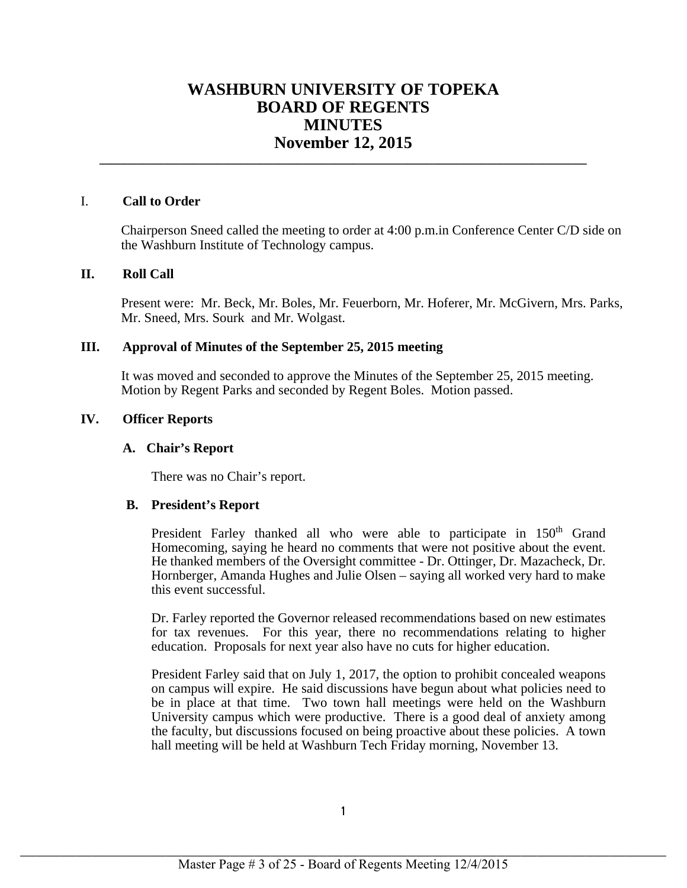# **WASHBURN UNIVERSITY OF TOPEKA BOARD OF REGENTS MINUTES November 12, 2015**

**\_\_\_\_\_\_\_\_\_\_\_\_\_\_\_\_\_\_\_\_\_\_\_\_\_\_\_\_\_\_\_\_\_\_\_\_\_\_\_\_\_\_\_\_\_\_\_\_\_\_\_\_\_\_\_\_\_\_\_\_\_\_\_\_\_\_\_\_\_\_\_\_\_\_\_\_\_\_\_**

### I. **Call to Order**

Chairperson Sneed called the meeting to order at 4:00 p.m.in Conference Center C/D side on the Washburn Institute of Technology campus.

### **II. Roll Call**

Present were: Mr. Beck, Mr. Boles, Mr. Feuerborn, Mr. Hoferer, Mr. McGivern, Mrs. Parks, Mr. Sneed, Mrs. Sourk and Mr. Wolgast.

## **III. Approval of Minutes of the September 25, 2015 meeting**

It was moved and seconded to approve the Minutes of the September 25, 2015 meeting. Motion by Regent Parks and seconded by Regent Boles. Motion passed.

## **IV. Officer Reports**

### **A. Chair's Report**

There was no Chair's report.

### **B. President's Report**

President Farley thanked all who were able to participate in 150<sup>th</sup> Grand Homecoming, saying he heard no comments that were not positive about the event. He thanked members of the Oversight committee - Dr. Ottinger, Dr. Mazacheck, Dr. Hornberger, Amanda Hughes and Julie Olsen – saying all worked very hard to make this event successful.

Dr. Farley reported the Governor released recommendations based on new estimates for tax revenues. For this year, there no recommendations relating to higher education. Proposals for next year also have no cuts for higher education.

President Farley said that on July 1, 2017, the option to prohibit concealed weapons on campus will expire. He said discussions have begun about what policies need to be in place at that time. Two town hall meetings were held on the Washburn University campus which were productive. There is a good deal of anxiety among the faculty, but discussions focused on being proactive about these policies. A town hall meeting will be held at Washburn Tech Friday morning, November 13.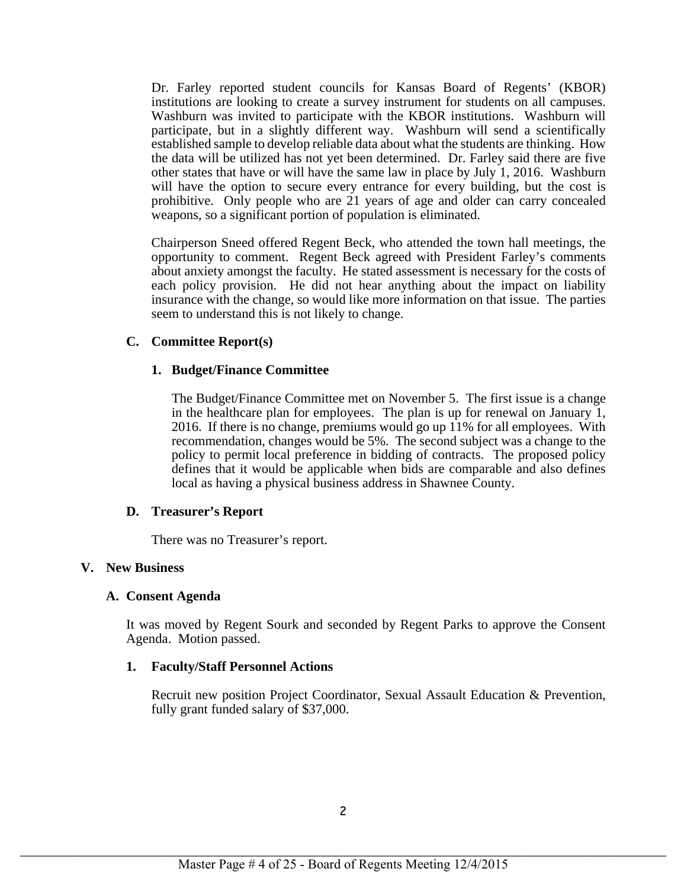Dr. Farley reported student councils for Kansas Board of Regents' (KBOR) institutions are looking to create a survey instrument for students on all campuses. Washburn was invited to participate with the KBOR institutions. Washburn will participate, but in a slightly different way. Washburn will send a scientifically established sample to develop reliable data about what the students are thinking. How the data will be utilized has not yet been determined. Dr. Farley said there are five other states that have or will have the same law in place by July 1, 2016. Washburn will have the option to secure every entrance for every building, but the cost is prohibitive. Only people who are 21 years of age and older can carry concealed weapons, so a significant portion of population is eliminated.

Chairperson Sneed offered Regent Beck, who attended the town hall meetings, the opportunity to comment. Regent Beck agreed with President Farley's comments about anxiety amongst the faculty. He stated assessment is necessary for the costs of each policy provision. He did not hear anything about the impact on liability insurance with the change, so would like more information on that issue. The parties seem to understand this is not likely to change.

## **C. Committee Report(s)**

## **1. Budget/Finance Committee**

The Budget/Finance Committee met on November 5. The first issue is a change in the healthcare plan for employees. The plan is up for renewal on January 1, 2016. If there is no change, premiums would go up 11% for all employees. With recommendation, changes would be 5%. The second subject was a change to the policy to permit local preference in bidding of contracts. The proposed policy defines that it would be applicable when bids are comparable and also defines local as having a physical business address in Shawnee County.

### **D. Treasurer's Report**

There was no Treasurer's report.

### **V. New Business**

### **A. Consent Agenda**

It was moved by Regent Sourk and seconded by Regent Parks to approve the Consent Agenda. Motion passed.

### **1. Faculty/Staff Personnel Actions**

Recruit new position Project Coordinator, Sexual Assault Education & Prevention, fully grant funded salary of \$37,000.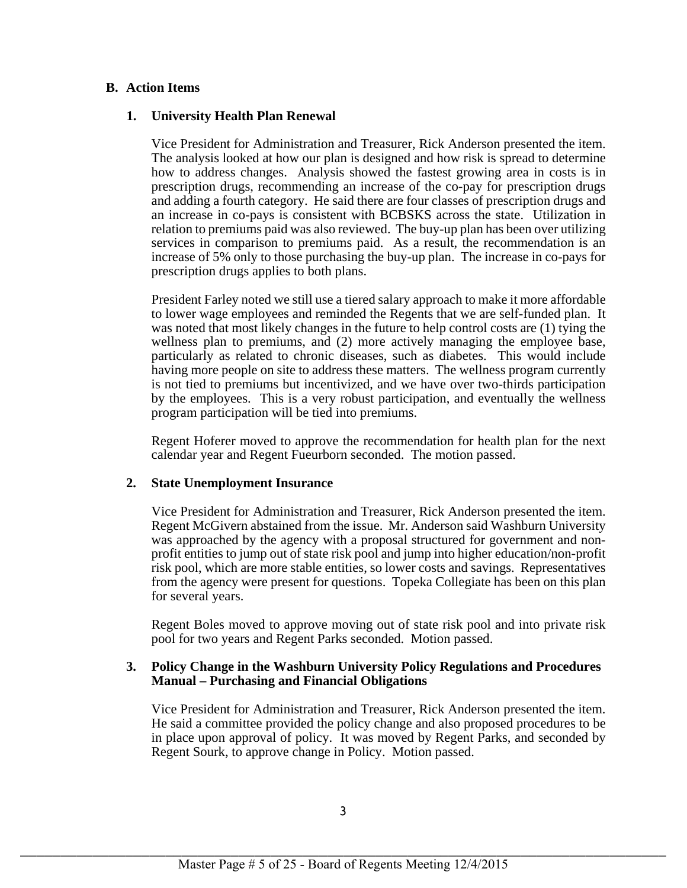## **B. Action Items**

### **1. University Health Plan Renewal**

Vice President for Administration and Treasurer, Rick Anderson presented the item. The analysis looked at how our plan is designed and how risk is spread to determine how to address changes. Analysis showed the fastest growing area in costs is in prescription drugs, recommending an increase of the co-pay for prescription drugs and adding a fourth category. He said there are four classes of prescription drugs and an increase in co-pays is consistent with BCBSKS across the state. Utilization in relation to premiums paid was also reviewed. The buy-up plan has been over utilizing services in comparison to premiums paid. As a result, the recommendation is an increase of 5% only to those purchasing the buy-up plan. The increase in co-pays for prescription drugs applies to both plans.

President Farley noted we still use a tiered salary approach to make it more affordable to lower wage employees and reminded the Regents that we are self-funded plan. It was noted that most likely changes in the future to help control costs are (1) tying the wellness plan to premiums, and (2) more actively managing the employee base, particularly as related to chronic diseases, such as diabetes. This would include having more people on site to address these matters. The wellness program currently is not tied to premiums but incentivized, and we have over two-thirds participation by the employees. This is a very robust participation, and eventually the wellness program participation will be tied into premiums.

Regent Hoferer moved to approve the recommendation for health plan for the next calendar year and Regent Fueurborn seconded. The motion passed.

### **2. State Unemployment Insurance**

Vice President for Administration and Treasurer, Rick Anderson presented the item. Regent McGivern abstained from the issue. Mr. Anderson said Washburn University was approached by the agency with a proposal structured for government and nonprofit entities to jump out of state risk pool and jump into higher education/non-profit risk pool, which are more stable entities, so lower costs and savings. Representatives from the agency were present for questions. Topeka Collegiate has been on this plan for several years.

Regent Boles moved to approve moving out of state risk pool and into private risk pool for two years and Regent Parks seconded. Motion passed.

### **3. Policy Change in the Washburn University Policy Regulations and Procedures Manual – Purchasing and Financial Obligations**

Vice President for Administration and Treasurer, Rick Anderson presented the item. He said a committee provided the policy change and also proposed procedures to be in place upon approval of policy. It was moved by Regent Parks, and seconded by Regent Sourk, to approve change in Policy. Motion passed.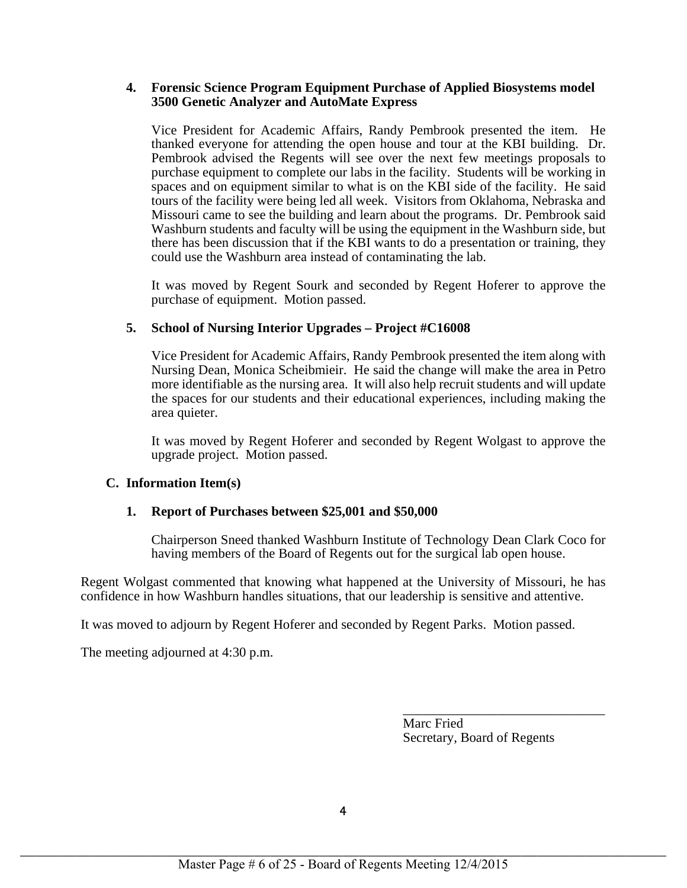### **4. Forensic Science Program Equipment Purchase of Applied Biosystems model 3500 Genetic Analyzer and AutoMate Express**

Vice President for Academic Affairs, Randy Pembrook presented the item. He thanked everyone for attending the open house and tour at the KBI building. Dr. Pembrook advised the Regents will see over the next few meetings proposals to purchase equipment to complete our labs in the facility. Students will be working in spaces and on equipment similar to what is on the KBI side of the facility. He said tours of the facility were being led all week. Visitors from Oklahoma, Nebraska and Missouri came to see the building and learn about the programs. Dr. Pembrook said Washburn students and faculty will be using the equipment in the Washburn side, but there has been discussion that if the KBI wants to do a presentation or training, they could use the Washburn area instead of contaminating the lab.

It was moved by Regent Sourk and seconded by Regent Hoferer to approve the purchase of equipment. Motion passed.

# **5. School of Nursing Interior Upgrades – Project #C16008**

Vice President for Academic Affairs, Randy Pembrook presented the item along with Nursing Dean, Monica Scheibmieir. He said the change will make the area in Petro more identifiable as the nursing area. It will also help recruit students and will update the spaces for our students and their educational experiences, including making the area quieter.

It was moved by Regent Hoferer and seconded by Regent Wolgast to approve the upgrade project. Motion passed.

# **C. Information Item(s)**

# **1. Report of Purchases between \$25,001 and \$50,000**

Chairperson Sneed thanked Washburn Institute of Technology Dean Clark Coco for having members of the Board of Regents out for the surgical lab open house.

Regent Wolgast commented that knowing what happened at the University of Missouri, he has confidence in how Washburn handles situations, that our leadership is sensitive and attentive.

It was moved to adjourn by Regent Hoferer and seconded by Regent Parks. Motion passed.

The meeting adjourned at 4:30 p.m.

Marc Fried Secretary, Board of Regents

\_\_\_\_\_\_\_\_\_\_\_\_\_\_\_\_\_\_\_\_\_\_\_\_\_\_\_\_\_\_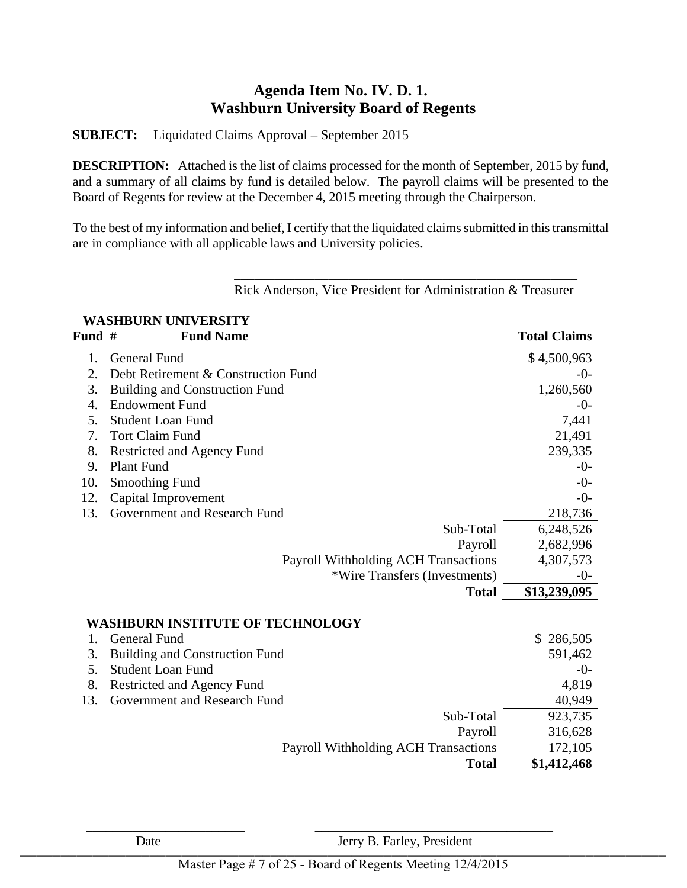# **Agenda Item No. IV. D. 1. Washburn University Board of Regents**

**SUBJECT:** Liquidated Claims Approval – September 2015

**DESCRIPTION:** Attached is the list of claims processed for the month of September, 2015 by fund, and a summary of all claims by fund is detailed below. The payroll claims will be presented to the Board of Regents for review at the December 4, 2015 meeting through the Chairperson.

To the best of my information and belief, I certify that the liquidated claims submitted in this transmittal are in compliance with all applicable laws and University policies.

\_\_\_\_\_\_\_\_\_\_\_\_\_\_\_\_\_\_\_\_\_\_\_\_\_\_\_\_\_\_\_\_\_\_\_\_\_\_\_\_\_\_\_\_\_\_\_\_\_\_\_

|        | <b>WASHBURN UNIVERSITY</b>                  |                     |
|--------|---------------------------------------------|---------------------|
| Fund # | <b>Fund Name</b>                            | <b>Total Claims</b> |
| 1.     | <b>General Fund</b>                         | \$4,500,963         |
| 2.     | Debt Retirement & Construction Fund         | $-0-$               |
| 3.     | <b>Building and Construction Fund</b>       | 1,260,560           |
| 4.     | <b>Endowment Fund</b>                       | -0-                 |
| 5.     | <b>Student Loan Fund</b>                    | 7,441               |
| 7.     | <b>Tort Claim Fund</b>                      | 21,491              |
| 8.     | Restricted and Agency Fund                  | 239,335             |
| 9.     | <b>Plant Fund</b>                           | $-0-$               |
| 10.    | <b>Smoothing Fund</b>                       | $-0-$               |
| 12.    | Capital Improvement                         | $-0-$               |
| 13.    | Government and Research Fund                | 218,736             |
|        | Sub-Total                                   | 6,248,526           |
|        | Payroll                                     | 2,682,996           |
|        | <b>Payroll Withholding ACH Transactions</b> | 4,307,573           |
|        | *Wire Transfers (Investments)               | $-0-$               |
|        | <b>Total</b>                                | \$13,239,095        |
|        | WASHBURN INSTITUTE OF TECHNOLOGY            |                     |
| 1.     | <b>General Fund</b>                         | \$<br>286,505       |
| 3.     | <b>Building and Construction Fund</b>       | 591,462             |
| 5.     | <b>Student Loan Fund</b>                    | $-0-$               |
| 8.     | Restricted and Agency Fund                  | 4,819               |
| 13.    | Government and Research Fund                | 40,949              |
|        | Sub-Total                                   | 923,735             |
|        | Payroll                                     | 316,628             |
|        | Payroll Withholding ACH Transactions        | 172,105             |
|        | <b>Total</b>                                | \$1,412,468         |

Rick Anderson, Vice President for Administration & Treasurer

Date Jerry B. Farley, President  $L = \sum_{i=1}^{n} L_i$ 

 $\frac{1}{2}$  ,  $\frac{1}{2}$  ,  $\frac{1}{2}$  ,  $\frac{1}{2}$  ,  $\frac{1}{2}$  ,  $\frac{1}{2}$  ,  $\frac{1}{2}$  ,  $\frac{1}{2}$  ,  $\frac{1}{2}$  ,  $\frac{1}{2}$  ,  $\frac{1}{2}$  ,  $\frac{1}{2}$  ,  $\frac{1}{2}$  ,  $\frac{1}{2}$  ,  $\frac{1}{2}$  ,  $\frac{1}{2}$  ,  $\frac{1}{2}$  ,  $\frac{1}{2}$  ,  $\frac{1$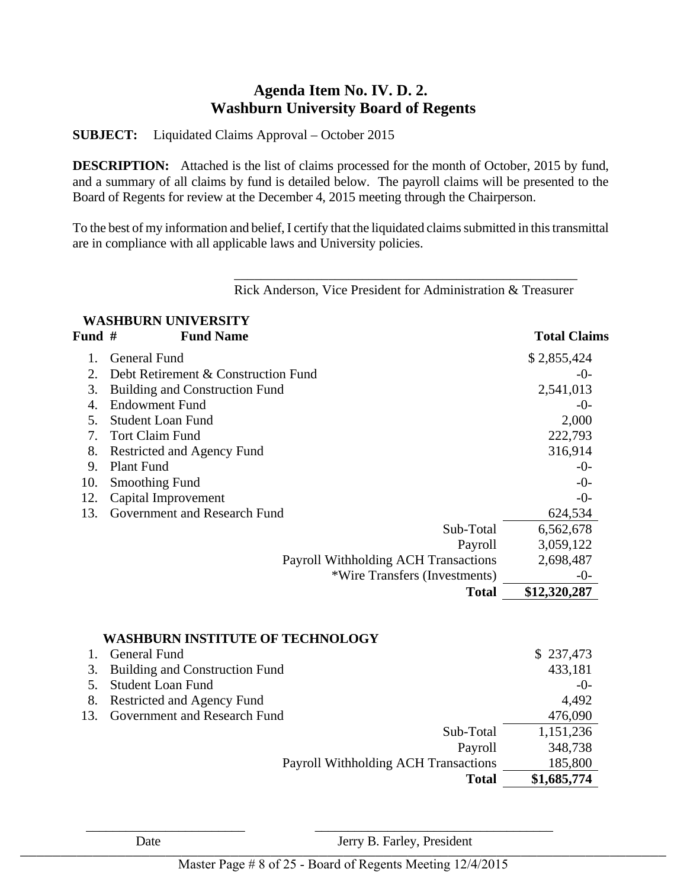# **Agenda Item No. IV. D. 2. Washburn University Board of Regents**

**SUBJECT:** Liquidated Claims Approval – October 2015

**DESCRIPTION:** Attached is the list of claims processed for the month of October, 2015 by fund, and a summary of all claims by fund is detailed below. The payroll claims will be presented to the Board of Regents for review at the December 4, 2015 meeting through the Chairperson.

To the best of my information and belief, I certify that the liquidated claims submitted in this transmittal are in compliance with all applicable laws and University policies.

\_\_\_\_\_\_\_\_\_\_\_\_\_\_\_\_\_\_\_\_\_\_\_\_\_\_\_\_\_\_\_\_\_\_\_\_\_\_\_\_\_\_\_\_\_\_\_\_\_\_\_

Rick Anderson, Vice President for Administration & Treasurer

# **WASHBURN UNIVERSITY**  Fund # Fund Name **Total Claims** 1. General Fund \$ 2,855,424 2. Debt Retirement & Construction Fund  $\sim$  3. Building and Construction Fund 2,541,013 4. Endowment Fund  $\sim$  5. Student Loan Fund 2,000 7. Tort Claim Fund 222,793 8. Restricted and Agency Fund 316,914 9. Plant Fund  $\sim$ 10. Smoothing Fund  $\sim$ 12. Capital Improvement -0-13. Government and Research Fund 624,534 Sub-Total 6,562,678 Payroll 3,059,122 Payroll Withholding ACH Transactions 2,698,487 \*Wire Transfers (Investments) -0- **Total \$12,320,287**

|                 | <b>WASHBURN INSTITUTE OF TECHNOLOGY</b> |             |
|-----------------|-----------------------------------------|-------------|
|                 | <b>General Fund</b>                     | \$237,473   |
|                 | 3. Building and Construction Fund       | 433,181     |
|                 | <b>Student Loan Fund</b>                | $-0-$       |
| 8.              | Restricted and Agency Fund              | 4,492       |
| 13 <sup>1</sup> | <b>Government and Research Fund</b>     | 476,090     |
|                 | Sub-Total                               | 1,151,236   |
|                 | Payroll                                 | 348,738     |
|                 | Payroll Withholding ACH Transactions    | 185,800     |
|                 | <b>Total</b>                            | \$1,685,774 |

Date Jerry B. Farley, President  $L = \sum_{i=1}^{n} L_i$ 

 $\frac{1}{2}$  ,  $\frac{1}{2}$  ,  $\frac{1}{2}$  ,  $\frac{1}{2}$  ,  $\frac{1}{2}$  ,  $\frac{1}{2}$  ,  $\frac{1}{2}$  ,  $\frac{1}{2}$  ,  $\frac{1}{2}$  ,  $\frac{1}{2}$  ,  $\frac{1}{2}$  ,  $\frac{1}{2}$  ,  $\frac{1}{2}$  ,  $\frac{1}{2}$  ,  $\frac{1}{2}$  ,  $\frac{1}{2}$  ,  $\frac{1}{2}$  ,  $\frac{1}{2}$  ,  $\frac{1$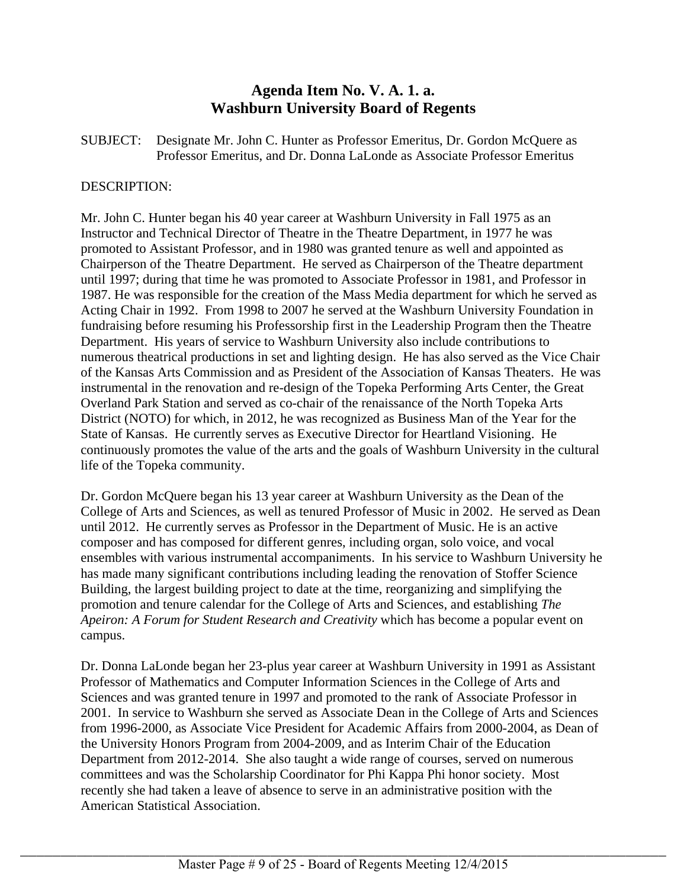# **Agenda Item No. V. A. 1. a. Washburn University Board of Regents**

SUBJECT: Designate Mr. John C. Hunter as Professor Emeritus, Dr. Gordon McQuere as Professor Emeritus, and Dr. Donna LaLonde as Associate Professor Emeritus

## DESCRIPTION:

Mr. John C. Hunter began his 40 year career at Washburn University in Fall 1975 as an Instructor and Technical Director of Theatre in the Theatre Department, in 1977 he was promoted to Assistant Professor, and in 1980 was granted tenure as well and appointed as Chairperson of the Theatre Department. He served as Chairperson of the Theatre department until 1997; during that time he was promoted to Associate Professor in 1981, and Professor in 1987. He was responsible for the creation of the Mass Media department for which he served as Acting Chair in 1992. From 1998 to 2007 he served at the Washburn University Foundation in fundraising before resuming his Professorship first in the Leadership Program then the Theatre Department. His years of service to Washburn University also include contributions to numerous theatrical productions in set and lighting design. He has also served as the Vice Chair of the Kansas Arts Commission and as President of the Association of Kansas Theaters. He was instrumental in the renovation and re-design of the Topeka Performing Arts Center, the Great Overland Park Station and served as co-chair of the renaissance of the North Topeka Arts District (NOTO) for which, in 2012, he was recognized as Business Man of the Year for the State of Kansas. He currently serves as Executive Director for Heartland Visioning. He continuously promotes the value of the arts and the goals of Washburn University in the cultural life of the Topeka community.

Dr. Gordon McQuere began his 13 year career at Washburn University as the Dean of the College of Arts and Sciences, as well as tenured Professor of Music in 2002. He served as Dean until 2012. He currently serves as Professor in the Department of Music. He is an active composer and has composed for different genres, including organ, solo voice, and vocal ensembles with various instrumental accompaniments. In his service to Washburn University he has made many significant contributions including leading the renovation of Stoffer Science Building, the largest building project to date at the time, reorganizing and simplifying the promotion and tenure calendar for the College of Arts and Sciences, and establishing *The Apeiron: A Forum for Student Research and Creativity* which has become a popular event on campus.

Dr. Donna LaLonde began her 23-plus year career at Washburn University in 1991 as Assistant Professor of Mathematics and Computer Information Sciences in the College of Arts and Sciences and was granted tenure in 1997 and promoted to the rank of Associate Professor in 2001. In service to Washburn she served as Associate Dean in the College of Arts and Sciences from 1996-2000, as Associate Vice President for Academic Affairs from 2000-2004, as Dean of the University Honors Program from 2004-2009, and as Interim Chair of the Education Department from 2012-2014. She also taught a wide range of courses, served on numerous committees and was the Scholarship Coordinator for Phi Kappa Phi honor society. Most recently she had taken a leave of absence to serve in an administrative position with the American Statistical Association.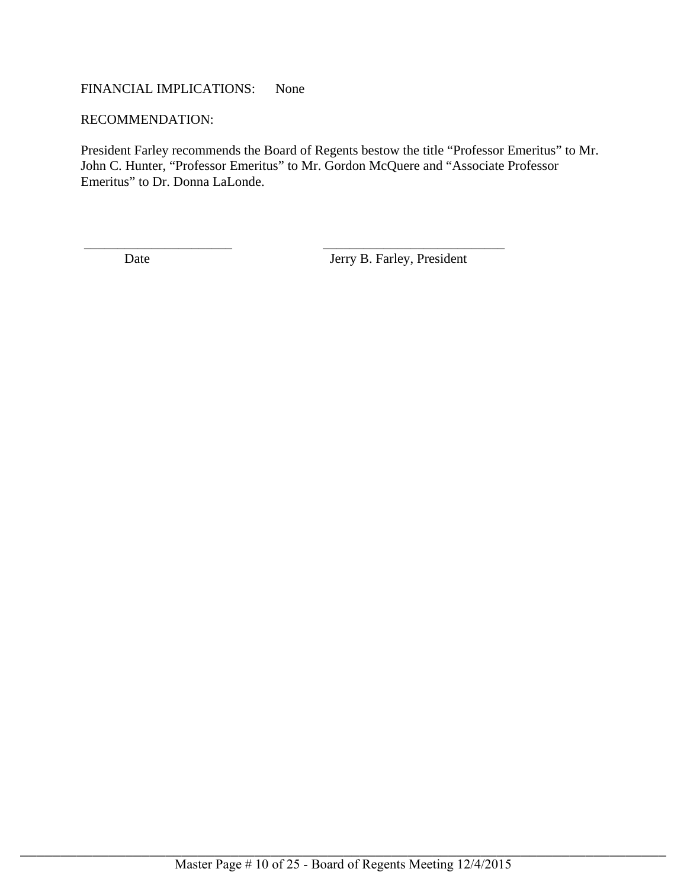# FINANCIAL IMPLICATIONS: None

#### RECOMMENDATION:

President Farley recommends the Board of Regents bestow the title "Professor Emeritus" to Mr. John C. Hunter, "Professor Emeritus" to Mr. Gordon McQuere and "Associate Professor Emeritus" to Dr. Donna LaLonde.

 $\overline{\phantom{a}}$  , and the set of the set of the set of the set of the set of the set of the set of the set of the set of the set of the set of the set of the set of the set of the set of the set of the set of the set of the s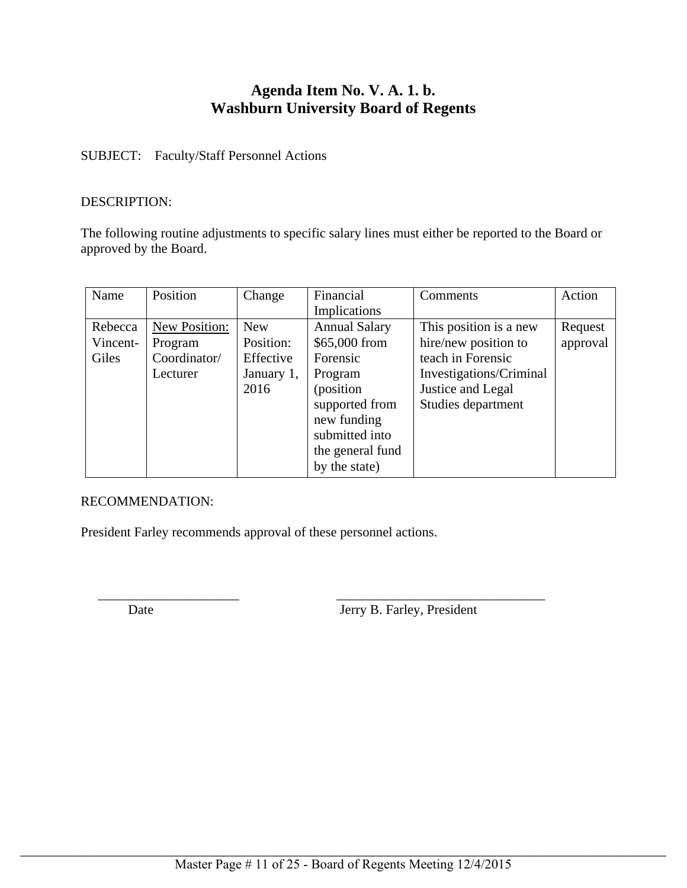# **Agenda Item No. V. A. 1. b. Washburn University Board of Regents**

# SUBJECT: Faculty/Staff Personnel Actions

## DESCRIPTION:

The following routine adjustments to specific salary lines must either be reported to the Board or approved by the Board.

| Name     | Position      | Change     | Financial            | Comments                | Action   |
|----------|---------------|------------|----------------------|-------------------------|----------|
|          |               |            | <b>Implications</b>  |                         |          |
| Rebecca  | New Position: | <b>New</b> | <b>Annual Salary</b> | This position is a new  | Request  |
| Vincent- | Program       | Position:  | \$65,000 from        | hire/new position to    | approval |
| Giles    | Coordinator/  | Effective  | Forensic             | teach in Forensic       |          |
|          | Lecturer      | January 1, | Program              | Investigations/Criminal |          |
|          |               | 2016       | (position)           | Justice and Legal       |          |
|          |               |            | supported from       | Studies department      |          |
|          |               |            | new funding          |                         |          |
|          |               |            | submitted into       |                         |          |
|          |               |            | the general fund     |                         |          |
|          |               |            | by the state)        |                         |          |

\_\_\_\_\_\_\_\_\_\_\_\_\_\_\_\_\_\_\_\_\_ \_\_\_\_\_\_\_\_\_\_\_\_\_\_\_\_\_\_\_\_\_\_\_\_\_\_\_\_\_\_\_

# RECOMMENDATION:

President Farley recommends approval of these personnel actions.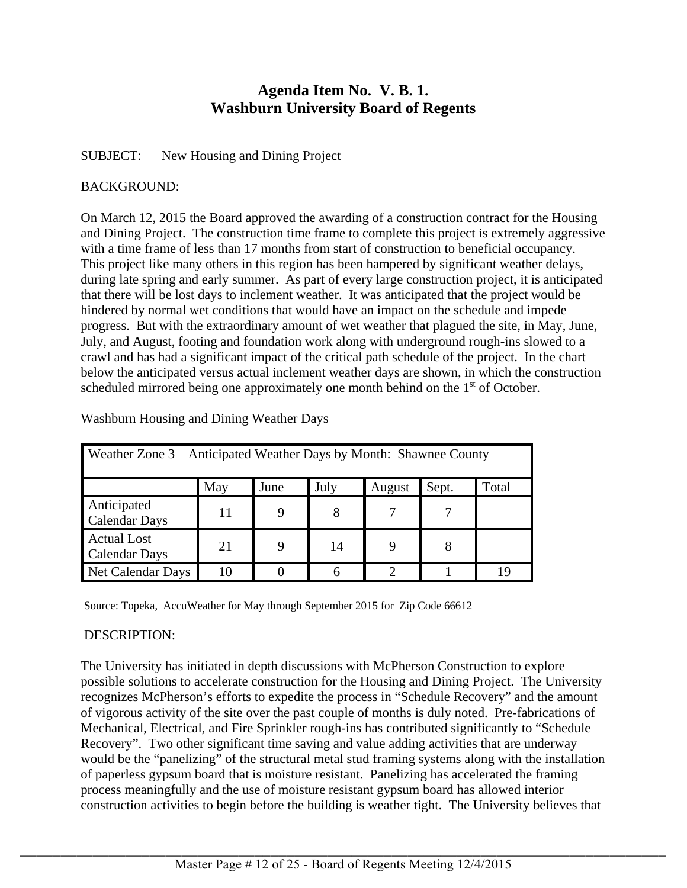# **Agenda Item No. V. B. 1. Washburn University Board of Regents**

# SUBJECT: New Housing and Dining Project

# BACKGROUND:

On March 12, 2015 the Board approved the awarding of a construction contract for the Housing and Dining Project. The construction time frame to complete this project is extremely aggressive with a time frame of less than 17 months from start of construction to beneficial occupancy. This project like many others in this region has been hampered by significant weather delays, during late spring and early summer. As part of every large construction project, it is anticipated that there will be lost days to inclement weather. It was anticipated that the project would be hindered by normal wet conditions that would have an impact on the schedule and impede progress. But with the extraordinary amount of wet weather that plagued the site, in May, June, July, and August, footing and foundation work along with underground rough-ins slowed to a crawl and has had a significant impact of the critical path schedule of the project. In the chart below the anticipated versus actual inclement weather days are shown, in which the construction scheduled mirrored being one approximately one month behind on the 1<sup>st</sup> of October.

| Anticipated Weather Days by Month: Shawnee County<br>Weather Zone 3 |     |      |      |        |       |       |
|---------------------------------------------------------------------|-----|------|------|--------|-------|-------|
|                                                                     | May | June | July | August | Sept. | Total |
| Anticipated<br><b>Calendar Days</b>                                 | 11  |      | 8    |        |       |       |
| <b>Actual Lost</b><br><b>Calendar Days</b>                          | 21  |      | 14   |        |       |       |
| Net Calendar Days                                                   | 10  |      | 6    |        |       |       |

Washburn Housing and Dining Weather Days

Source: Topeka, AccuWeather for May through September 2015 for Zip Code 66612

# DESCRIPTION:

The University has initiated in depth discussions with McPherson Construction to explore possible solutions to accelerate construction for the Housing and Dining Project. The University recognizes McPherson's efforts to expedite the process in "Schedule Recovery" and the amount of vigorous activity of the site over the past couple of months is duly noted. Pre-fabrications of Mechanical, Electrical, and Fire Sprinkler rough-ins has contributed significantly to "Schedule Recovery". Two other significant time saving and value adding activities that are underway would be the "panelizing" of the structural metal stud framing systems along with the installation of paperless gypsum board that is moisture resistant. Panelizing has accelerated the framing process meaningfully and the use of moisture resistant gypsum board has allowed interior construction activities to begin before the building is weather tight. The University believes that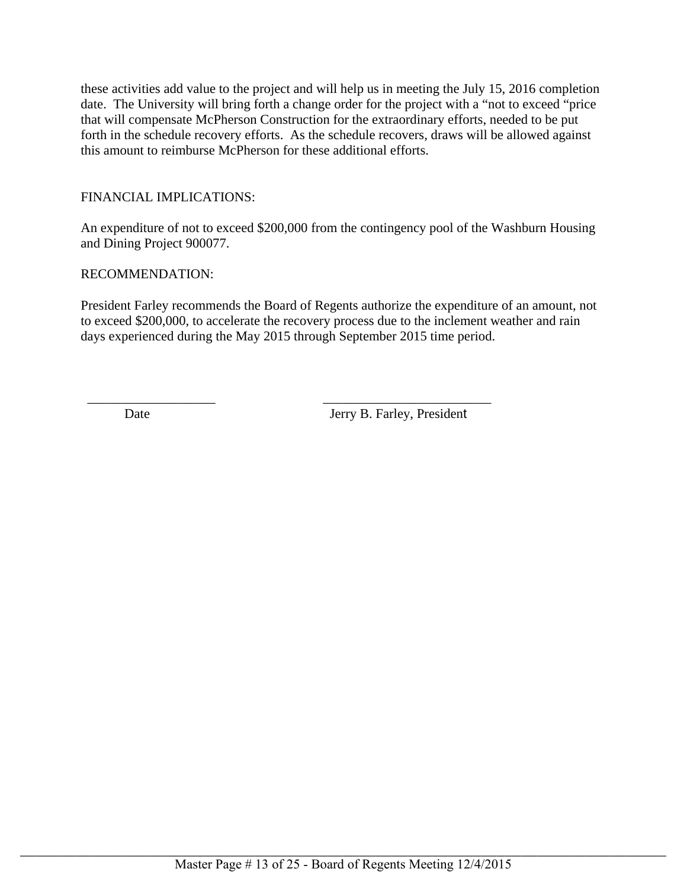these activities add value to the project and will help us in meeting the July 15, 2016 completion date. The University will bring forth a change order for the project with a "not to exceed "price that will compensate McPherson Construction for the extraordinary efforts, needed to be put forth in the schedule recovery efforts. As the schedule recovers, draws will be allowed against this amount to reimburse McPherson for these additional efforts.

# FINANCIAL IMPLICATIONS:

An expenditure of not to exceed \$200,000 from the contingency pool of the Washburn Housing and Dining Project 900077.

# RECOMMENDATION:

President Farley recommends the Board of Regents authorize the expenditure of an amount, not to exceed \$200,000, to accelerate the recovery process due to the inclement weather and rain days experienced during the May 2015 through September 2015 time period.

 $\overline{\phantom{a}}$  , and the set of the set of the set of the set of the set of the set of the set of the set of the set of the set of the set of the set of the set of the set of the set of the set of the set of the set of the s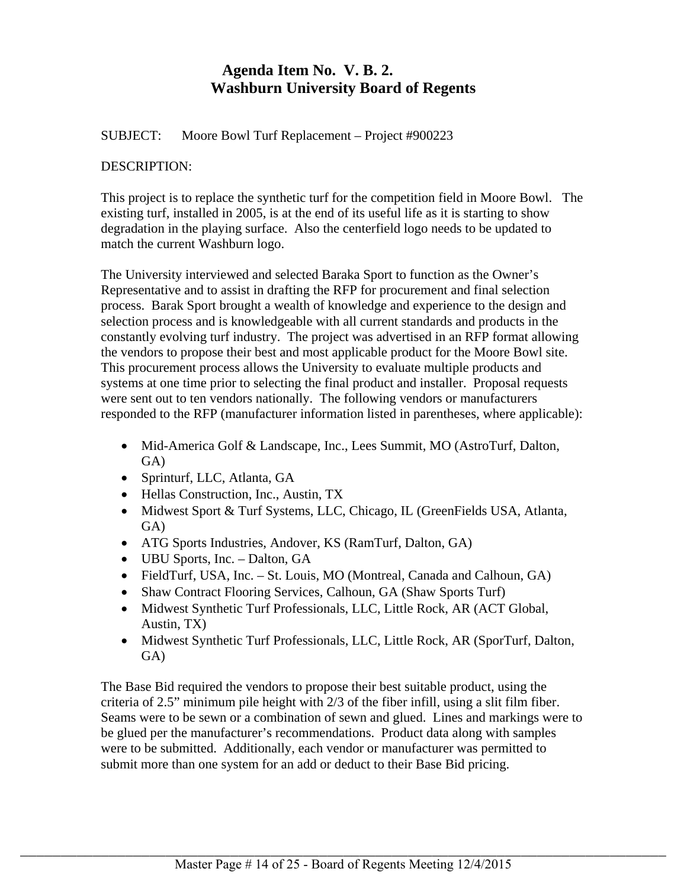# **Agenda Item No. V. B. 2. Washburn University Board of Regents**

SUBJECT: Moore Bowl Turf Replacement – Project #900223

## DESCRIPTION:

This project is to replace the synthetic turf for the competition field in Moore Bowl. The existing turf, installed in 2005, is at the end of its useful life as it is starting to show degradation in the playing surface. Also the centerfield logo needs to be updated to match the current Washburn logo.

The University interviewed and selected Baraka Sport to function as the Owner's Representative and to assist in drafting the RFP for procurement and final selection process. Barak Sport brought a wealth of knowledge and experience to the design and selection process and is knowledgeable with all current standards and products in the constantly evolving turf industry. The project was advertised in an RFP format allowing the vendors to propose their best and most applicable product for the Moore Bowl site. This procurement process allows the University to evaluate multiple products and systems at one time prior to selecting the final product and installer. Proposal requests were sent out to ten vendors nationally. The following vendors or manufacturers responded to the RFP (manufacturer information listed in parentheses, where applicable):

- Mid-America Golf & Landscape, Inc., Lees Summit, MO (AstroTurf, Dalton, GA)
- Sprinturf, LLC, Atlanta, GA
- Hellas Construction, Inc., Austin, TX
- Midwest Sport & Turf Systems, LLC, Chicago, IL (GreenFields USA, Atlanta, GA)
- ATG Sports Industries, Andover, KS (RamTurf, Dalton, GA)
- UBU Sports, Inc. Dalton, GA
- FieldTurf, USA, Inc. St. Louis, MO (Montreal, Canada and Calhoun, GA)
- Shaw Contract Flooring Services, Calhoun, GA (Shaw Sports Turf)
- Midwest Synthetic Turf Professionals, LLC, Little Rock, AR (ACT Global, Austin, TX)
- Midwest Synthetic Turf Professionals, LLC, Little Rock, AR (SporTurf, Dalton, GA)

The Base Bid required the vendors to propose their best suitable product, using the criteria of 2.5" minimum pile height with 2/3 of the fiber infill, using a slit film fiber. Seams were to be sewn or a combination of sewn and glued. Lines and markings were to be glued per the manufacturer's recommendations. Product data along with samples were to be submitted. Additionally, each vendor or manufacturer was permitted to submit more than one system for an add or deduct to their Base Bid pricing.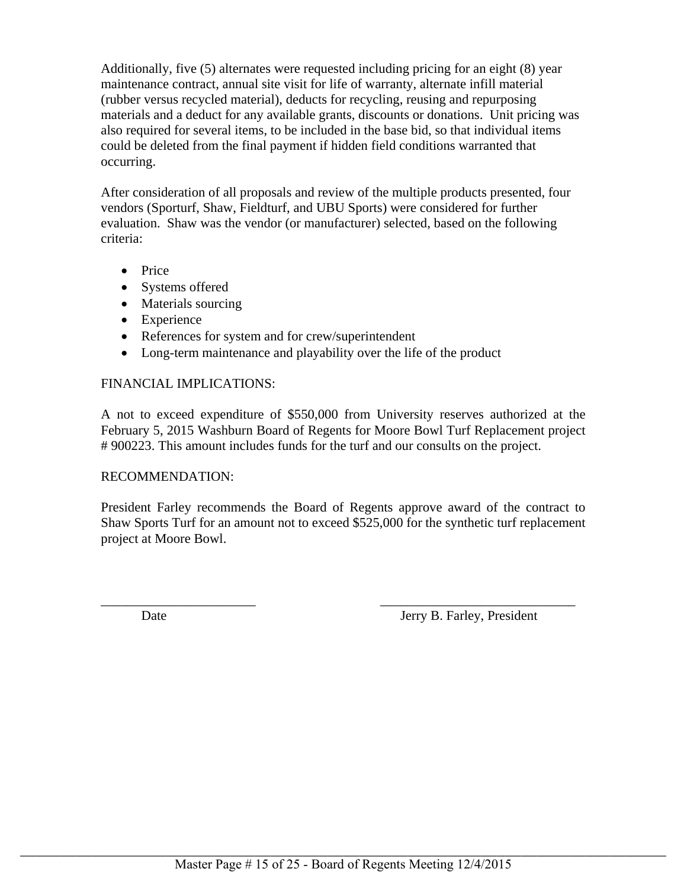Additionally, five (5) alternates were requested including pricing for an eight (8) year maintenance contract, annual site visit for life of warranty, alternate infill material (rubber versus recycled material), deducts for recycling, reusing and repurposing materials and a deduct for any available grants, discounts or donations. Unit pricing was also required for several items, to be included in the base bid, so that individual items could be deleted from the final payment if hidden field conditions warranted that occurring.

After consideration of all proposals and review of the multiple products presented, four vendors (Sporturf, Shaw, Fieldturf, and UBU Sports) were considered for further evaluation. Shaw was the vendor (or manufacturer) selected, based on the following criteria:

- Price
- Systems offered
- Materials sourcing
- Experience
- References for system and for crew/superintendent
- Long-term maintenance and playability over the life of the product

## FINANCIAL IMPLICATIONS:

A not to exceed expenditure of \$550,000 from University reserves authorized at the February 5, 2015 Washburn Board of Regents for Moore Bowl Turf Replacement project # 900223. This amount includes funds for the turf and our consults on the project.

### RECOMMENDATION:

President Farley recommends the Board of Regents approve award of the contract to Shaw Sports Turf for an amount not to exceed \$525,000 for the synthetic turf replacement project at Moore Bowl.

 $\overline{\phantom{a}}$  , and the contract of the contract of the contract of the contract of the contract of the contract of the contract of the contract of the contract of the contract of the contract of the contract of the contrac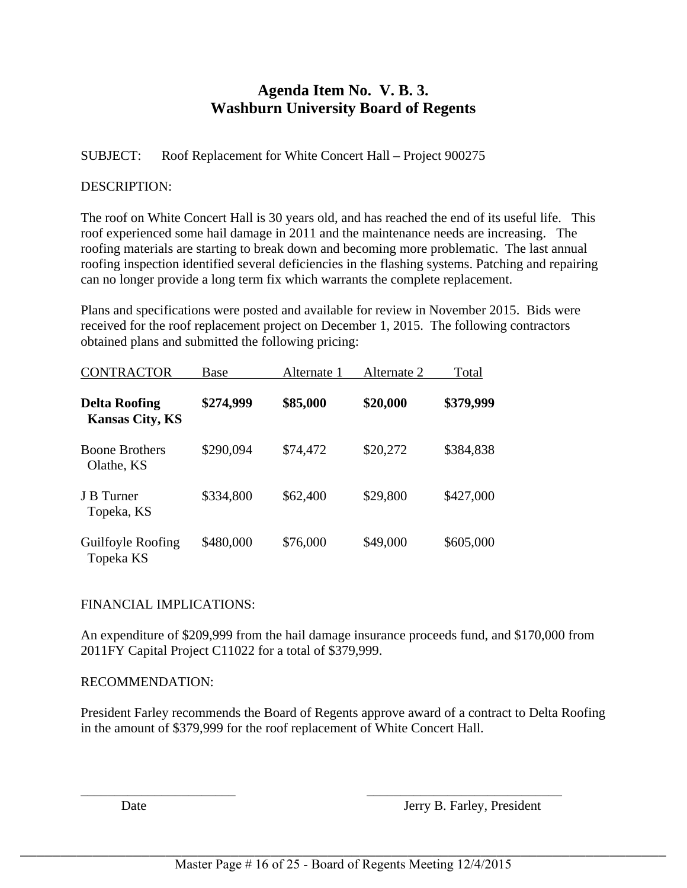# **Agenda Item No. V. B. 3. Washburn University Board of Regents**

# SUBJECT: Roof Replacement for White Concert Hall – Project 900275

# DESCRIPTION:

The roof on White Concert Hall is 30 years old, and has reached the end of its useful life. This roof experienced some hail damage in 2011 and the maintenance needs are increasing. The roofing materials are starting to break down and becoming more problematic. The last annual roofing inspection identified several deficiencies in the flashing systems. Patching and repairing can no longer provide a long term fix which warrants the complete replacement.

Plans and specifications were posted and available for review in November 2015. Bids were received for the roof replacement project on December 1, 2015. The following contractors obtained plans and submitted the following pricing:

| <b>CONTRACTOR</b>                              | Base      | Alternate 1 | Alternate 2 | Total     |
|------------------------------------------------|-----------|-------------|-------------|-----------|
| <b>Delta Roofing</b><br><b>Kansas City, KS</b> | \$274,999 | \$85,000    | \$20,000    | \$379,999 |
| <b>Boone Brothers</b><br>Olathe, KS            | \$290,094 | \$74,472    | \$20,272    | \$384,838 |
| J B Turner<br>Topeka, KS                       | \$334,800 | \$62,400    | \$29,800    | \$427,000 |
| Guilfoyle Roofing<br>Topeka KS                 | \$480,000 | \$76,000    | \$49,000    | \$605,000 |

# FINANCIAL IMPLICATIONS:

An expenditure of \$209,999 from the hail damage insurance proceeds fund, and \$170,000 from 2011FY Capital Project C11022 for a total of \$379,999.

# RECOMMENDATION:

President Farley recommends the Board of Regents approve award of a contract to Delta Roofing in the amount of \$379,999 for the roof replacement of White Concert Hall.

Date Jerry B. Farley, President

 $\frac{1}{2}$  ,  $\frac{1}{2}$  ,  $\frac{1}{2}$  ,  $\frac{1}{2}$  ,  $\frac{1}{2}$  ,  $\frac{1}{2}$  ,  $\frac{1}{2}$  ,  $\frac{1}{2}$  ,  $\frac{1}{2}$  ,  $\frac{1}{2}$  ,  $\frac{1}{2}$  ,  $\frac{1}{2}$  ,  $\frac{1}{2}$  ,  $\frac{1}{2}$  ,  $\frac{1}{2}$  ,  $\frac{1}{2}$  ,  $\frac{1}{2}$  ,  $\frac{1}{2}$  ,  $\frac{1$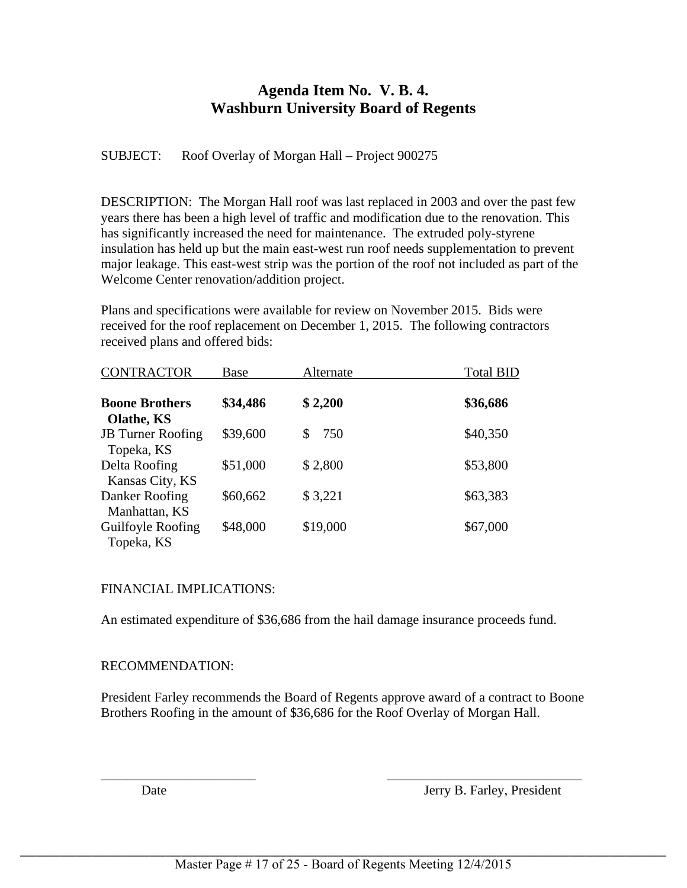# **Agenda Item No. V. B. 4. Washburn University Board of Regents**

SUBJECT: Roof Overlay of Morgan Hall – Project 900275

DESCRIPTION: The Morgan Hall roof was last replaced in 2003 and over the past few years there has been a high level of traffic and modification due to the renovation. This has significantly increased the need for maintenance. The extruded poly-styrene insulation has held up but the main east-west run roof needs supplementation to prevent major leakage. This east-west strip was the portion of the roof not included as part of the Welcome Center renovation/addition project.

Plans and specifications were available for review on November 2015. Bids were received for the roof replacement on December 1, 2015. The following contractors received plans and offered bids:

| <b>CONTRACTOR</b>                                    | Base     | Alternate | <b>Total BID</b> |
|------------------------------------------------------|----------|-----------|------------------|
| <b>Boone Brothers</b>                                | \$34,486 | \$2,200   | \$36,686         |
| Olathe, KS<br><b>JB</b> Turner Roofing<br>Topeka, KS | \$39,600 | 750<br>\$ | \$40,350         |
| Delta Roofing<br>Kansas City, KS                     | \$51,000 | \$2,800   | \$53,800         |
| Danker Roofing<br>Manhattan, KS                      | \$60,662 | \$3,221   | \$63,383         |
| Guilfoyle Roofing<br>Topeka, KS                      | \$48,000 | \$19,000  | \$67,000         |

# FINANCIAL IMPLICATIONS:

An estimated expenditure of \$36,686 from the hail damage insurance proceeds fund.

# RECOMMENDATION:

President Farley recommends the Board of Regents approve award of a contract to Boone Brothers Roofing in the amount of \$36,686 for the Roof Overlay of Morgan Hall.

\_\_\_\_\_\_\_\_\_\_\_\_\_\_\_\_\_\_\_\_\_\_\_ \_\_\_\_\_\_\_\_\_\_\_\_\_\_\_\_\_\_\_\_\_\_\_\_\_\_\_\_\_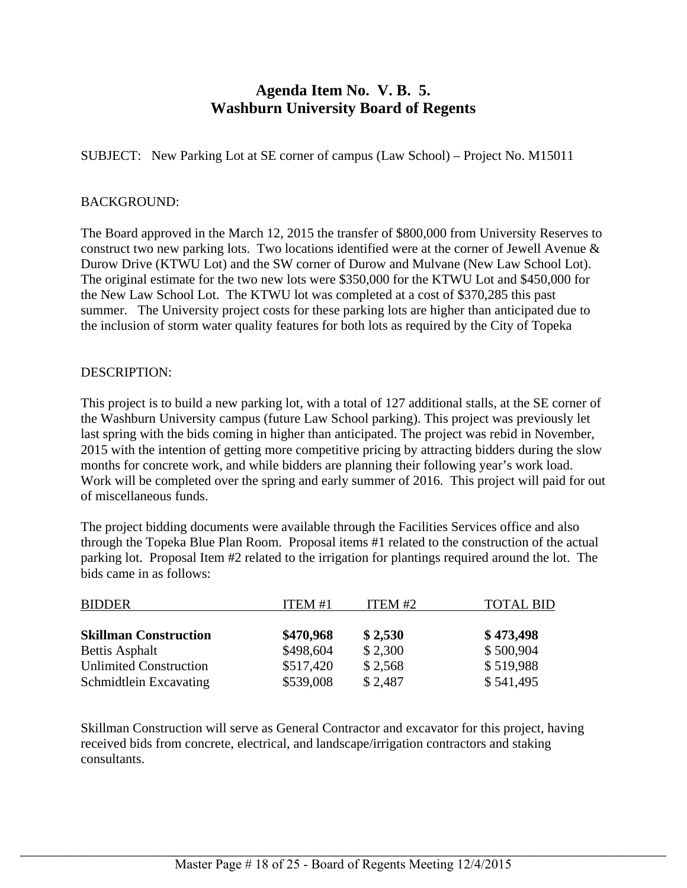# **Agenda Item No. V. B. 5. Washburn University Board of Regents**

SUBJECT: New Parking Lot at SE corner of campus (Law School) – Project No. M15011

### BACKGROUND:

The Board approved in the March 12, 2015 the transfer of \$800,000 from University Reserves to construct two new parking lots. Two locations identified were at the corner of Jewell Avenue & Durow Drive (KTWU Lot) and the SW corner of Durow and Mulvane (New Law School Lot). The original estimate for the two new lots were \$350,000 for the KTWU Lot and \$450,000 for the New Law School Lot. The KTWU lot was completed at a cost of \$370,285 this past summer. The University project costs for these parking lots are higher than anticipated due to the inclusion of storm water quality features for both lots as required by the City of Topeka

### DESCRIPTION:

This project is to build a new parking lot, with a total of 127 additional stalls, at the SE corner of the Washburn University campus (future Law School parking). This project was previously let last spring with the bids coming in higher than anticipated. The project was rebid in November, 2015 with the intention of getting more competitive pricing by attracting bidders during the slow months for concrete work, and while bidders are planning their following year's work load. Work will be completed over the spring and early summer of 2016. This project will paid for out of miscellaneous funds.

The project bidding documents were available through the Facilities Services office and also through the Topeka Blue Plan Room. Proposal items #1 related to the construction of the actual parking lot. Proposal Item #2 related to the irrigation for plantings required around the lot. The bids came in as follows:

| <b>BIDDER</b>                 | ITEM #1   | ITEM #2 | <b>TOTAL BID</b> |
|-------------------------------|-----------|---------|------------------|
| <b>Skillman Construction</b>  | \$470,968 | \$2,530 | \$473,498        |
| <b>Bettis Asphalt</b>         | \$498,604 | \$2,300 | \$500,904        |
| <b>Unlimited Construction</b> | \$517,420 | \$2,568 | \$519,988        |
| Schmidtlein Excavating        | \$539,008 | \$2,487 | \$541,495        |

Skillman Construction will serve as General Contractor and excavator for this project, having received bids from concrete, electrical, and landscape/irrigation contractors and staking consultants.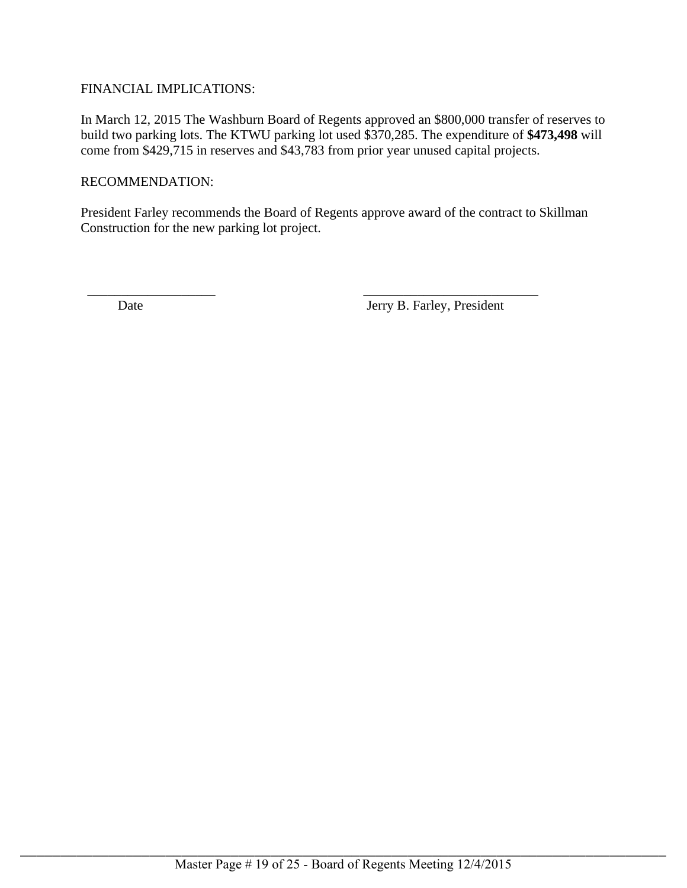# FINANCIAL IMPLICATIONS:

In March 12, 2015 The Washburn Board of Regents approved an \$800,000 transfer of reserves to build two parking lots. The KTWU parking lot used \$370,285. The expenditure of **\$473,498** will come from \$429,715 in reserves and \$43,783 from prior year unused capital projects.

### RECOMMENDATION:

President Farley recommends the Board of Regents approve award of the contract to Skillman Construction for the new parking lot project.

 $\overline{\phantom{a}}$  , and the contract of the contract of the contract of the contract of the contract of the contract of the contract of the contract of the contract of the contract of the contract of the contract of the contrac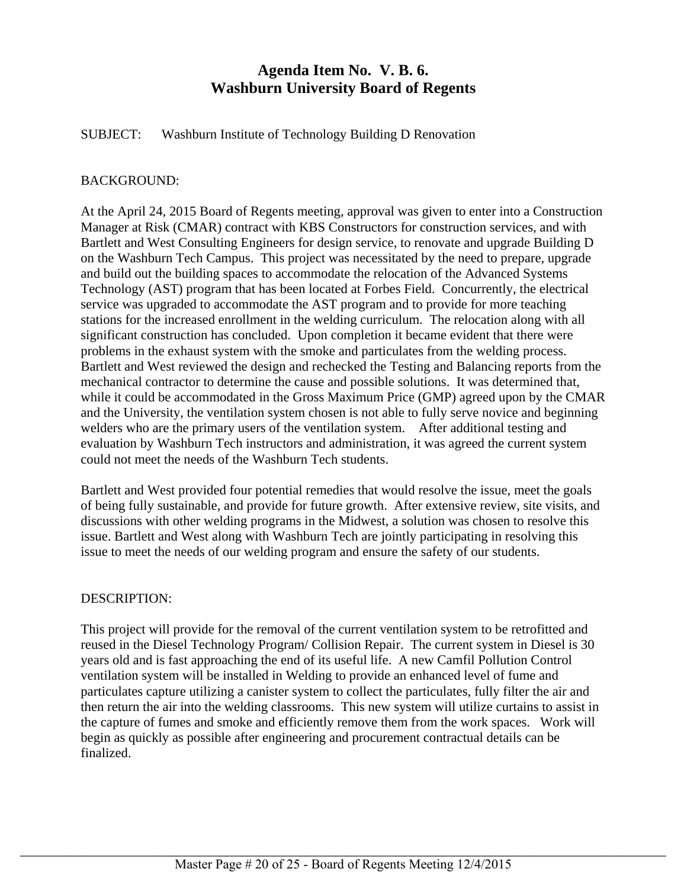# **Agenda Item No. V. B. 6. Washburn University Board of Regents**

SUBJECT: Washburn Institute of Technology Building D Renovation

# BACKGROUND:

At the April 24, 2015 Board of Regents meeting, approval was given to enter into a Construction Manager at Risk (CMAR) contract with KBS Constructors for construction services, and with Bartlett and West Consulting Engineers for design service, to renovate and upgrade Building D on the Washburn Tech Campus. This project was necessitated by the need to prepare, upgrade and build out the building spaces to accommodate the relocation of the Advanced Systems Technology (AST) program that has been located at Forbes Field. Concurrently, the electrical service was upgraded to accommodate the AST program and to provide for more teaching stations for the increased enrollment in the welding curriculum. The relocation along with all significant construction has concluded. Upon completion it became evident that there were problems in the exhaust system with the smoke and particulates from the welding process. Bartlett and West reviewed the design and rechecked the Testing and Balancing reports from the mechanical contractor to determine the cause and possible solutions. It was determined that, while it could be accommodated in the Gross Maximum Price (GMP) agreed upon by the CMAR and the University, the ventilation system chosen is not able to fully serve novice and beginning welders who are the primary users of the ventilation system. After additional testing and evaluation by Washburn Tech instructors and administration, it was agreed the current system could not meet the needs of the Washburn Tech students.

Bartlett and West provided four potential remedies that would resolve the issue, meet the goals of being fully sustainable, and provide for future growth. After extensive review, site visits, and discussions with other welding programs in the Midwest, a solution was chosen to resolve this issue. Bartlett and West along with Washburn Tech are jointly participating in resolving this issue to meet the needs of our welding program and ensure the safety of our students.

# DESCRIPTION:

This project will provide for the removal of the current ventilation system to be retrofitted and reused in the Diesel Technology Program/ Collision Repair. The current system in Diesel is 30 years old and is fast approaching the end of its useful life. A new Camfil Pollution Control ventilation system will be installed in Welding to provide an enhanced level of fume and particulates capture utilizing a canister system to collect the particulates, fully filter the air and then return the air into the welding classrooms. This new system will utilize curtains to assist in the capture of fumes and smoke and efficiently remove them from the work spaces. Work will begin as quickly as possible after engineering and procurement contractual details can be finalized.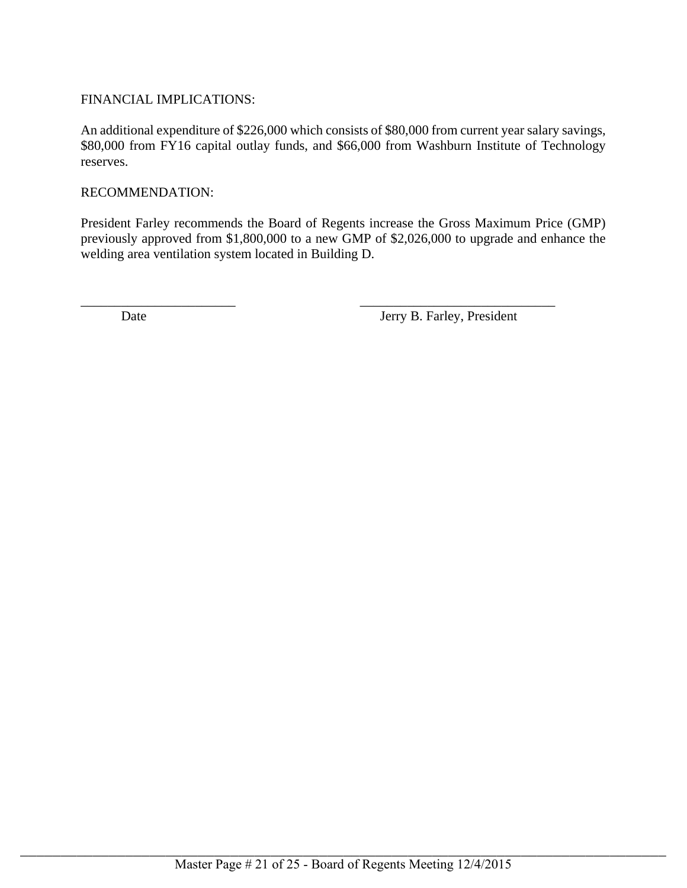# FINANCIAL IMPLICATIONS:

An additional expenditure of \$226,000 which consists of \$80,000 from current year salary savings, \$80,000 from FY16 capital outlay funds, and \$66,000 from Washburn Institute of Technology reserves.

## RECOMMENDATION:

President Farley recommends the Board of Regents increase the Gross Maximum Price (GMP) previously approved from \$1,800,000 to a new GMP of \$2,026,000 to upgrade and enhance the welding area ventilation system located in Building D.

 $\overline{\phantom{a}}$  , and the contract of the contract of the contract of the contract of the contract of the contract of the contract of the contract of the contract of the contract of the contract of the contract of the contrac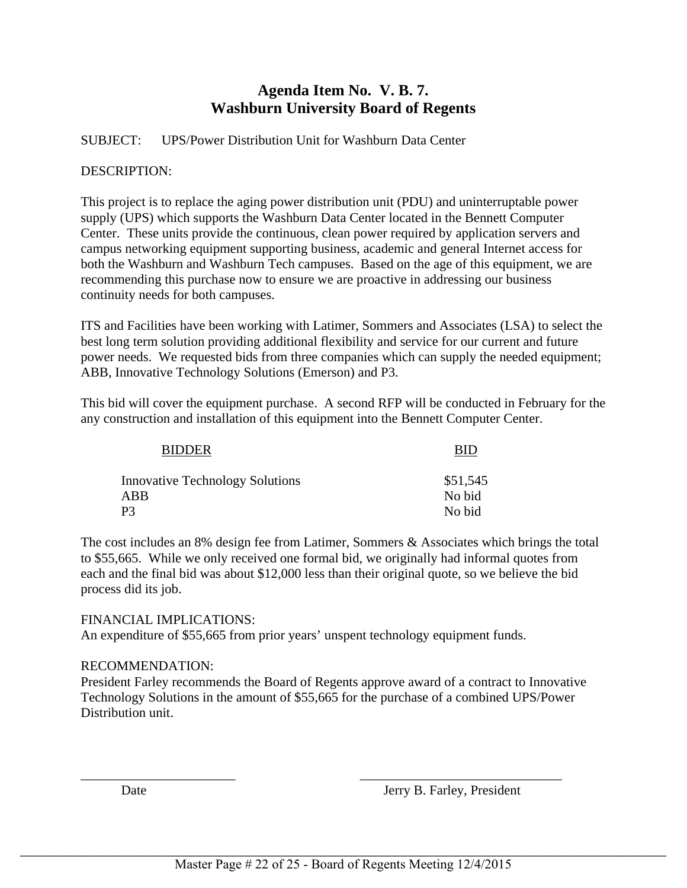# **Agenda Item No. V. B. 7. Washburn University Board of Regents**

SUBJECT: UPS/Power Distribution Unit for Washburn Data Center

## DESCRIPTION:

This project is to replace the aging power distribution unit (PDU) and uninterruptable power supply (UPS) which supports the Washburn Data Center located in the Bennett Computer Center. These units provide the continuous, clean power required by application servers and campus networking equipment supporting business, academic and general Internet access for both the Washburn and Washburn Tech campuses. Based on the age of this equipment, we are recommending this purchase now to ensure we are proactive in addressing our business continuity needs for both campuses.

ITS and Facilities have been working with Latimer, Sommers and Associates (LSA) to select the best long term solution providing additional flexibility and service for our current and future power needs. We requested bids from three companies which can supply the needed equipment; ABB, Innovative Technology Solutions (Emerson) and P3.

This bid will cover the equipment purchase. A second RFP will be conducted in February for the any construction and installation of this equipment into the Bennett Computer Center.

| <b>BID</b> |
|------------|
| \$51,545   |
| No bid     |
| No bid     |
|            |

The cost includes an 8% design fee from Latimer, Sommers & Associates which brings the total to \$55,665. While we only received one formal bid, we originally had informal quotes from each and the final bid was about \$12,000 less than their original quote, so we believe the bid process did its job.

### FINANCIAL IMPLICATIONS:

An expenditure of \$55,665 from prior years' unspent technology equipment funds.

# RECOMMENDATION:

President Farley recommends the Board of Regents approve award of a contract to Innovative Technology Solutions in the amount of \$55,665 for the purchase of a combined UPS/Power Distribution unit.

\_\_\_\_\_\_\_\_\_\_\_\_\_\_\_\_\_\_\_\_\_\_\_ \_\_\_\_\_\_\_\_\_\_\_\_\_\_\_\_\_\_\_\_\_\_\_\_\_\_\_\_\_\_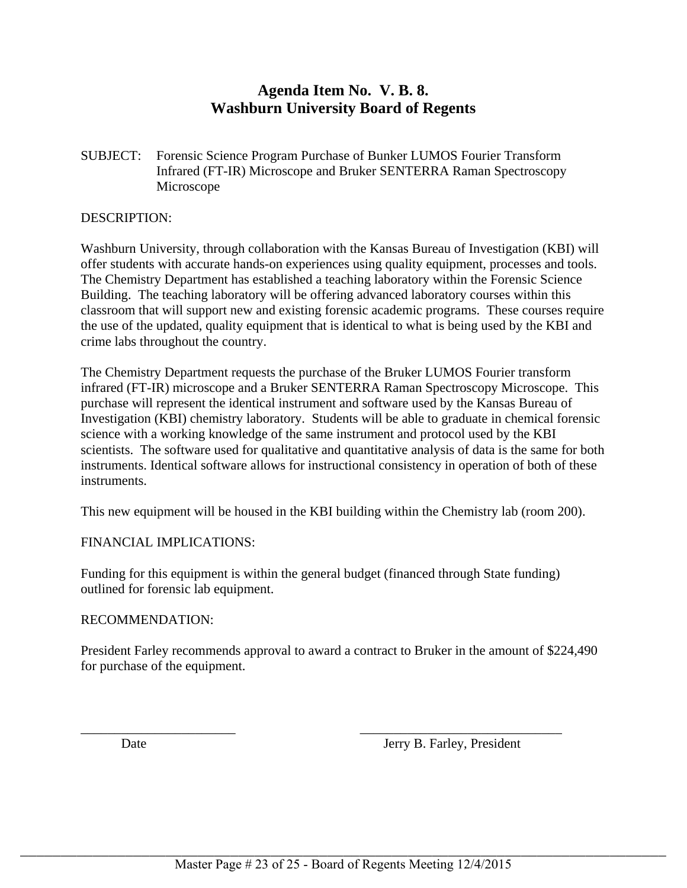# **Agenda Item No. V. B. 8. Washburn University Board of Regents**

SUBJECT: Forensic Science Program Purchase of Bunker LUMOS Fourier Transform Infrared (FT-IR) Microscope and Bruker SENTERRA Raman Spectroscopy Microscope

### DESCRIPTION:

Washburn University, through collaboration with the Kansas Bureau of Investigation (KBI) will offer students with accurate hands-on experiences using quality equipment, processes and tools. The Chemistry Department has established a teaching laboratory within the Forensic Science Building. The teaching laboratory will be offering advanced laboratory courses within this classroom that will support new and existing forensic academic programs. These courses require the use of the updated, quality equipment that is identical to what is being used by the KBI and crime labs throughout the country.

The Chemistry Department requests the purchase of the Bruker LUMOS Fourier transform infrared (FT-IR) microscope and a Bruker SENTERRA Raman Spectroscopy Microscope. This purchase will represent the identical instrument and software used by the Kansas Bureau of Investigation (KBI) chemistry laboratory. Students will be able to graduate in chemical forensic science with a working knowledge of the same instrument and protocol used by the KBI scientists. The software used for qualitative and quantitative analysis of data is the same for both instruments. Identical software allows for instructional consistency in operation of both of these instruments.

This new equipment will be housed in the KBI building within the Chemistry lab (room 200).

# FINANCIAL IMPLICATIONS:

Funding for this equipment is within the general budget (financed through State funding) outlined for forensic lab equipment.

# RECOMMENDATION:

President Farley recommends approval to award a contract to Bruker in the amount of \$224,490 for purchase of the equipment.

\_\_\_\_\_\_\_\_\_\_\_\_\_\_\_\_\_\_\_\_\_\_\_ \_\_\_\_\_\_\_\_\_\_\_\_\_\_\_\_\_\_\_\_\_\_\_\_\_\_\_\_\_\_ Date Jerry B. Farley, President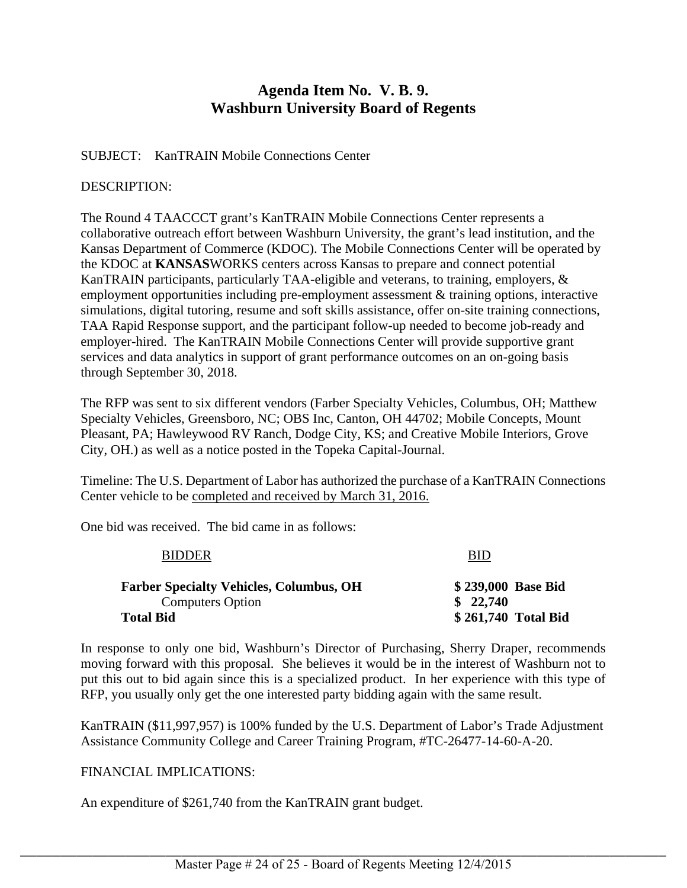# **Agenda Item No. V. B. 9. Washburn University Board of Regents**

# SUBJECT: KanTRAIN Mobile Connections Center

# DESCRIPTION:

The Round 4 TAACCCT grant's KanTRAIN Mobile Connections Center represents a collaborative outreach effort between Washburn University, the grant's lead institution, and the Kansas Department of Commerce (KDOC). The Mobile Connections Center will be operated by the KDOC at **KANSAS**WORKS centers across Kansas to prepare and connect potential KanTRAIN participants, particularly TAA-eligible and veterans, to training, employers, & employment opportunities including pre-employment assessment & training options, interactive simulations, digital tutoring, resume and soft skills assistance, offer on-site training connections, TAA Rapid Response support, and the participant follow-up needed to become job-ready and employer-hired. The KanTRAIN Mobile Connections Center will provide supportive grant services and data analytics in support of grant performance outcomes on an on-going basis through September 30, 2018.

The RFP was sent to six different vendors (Farber Specialty Vehicles, Columbus, OH; Matthew Specialty Vehicles, Greensboro, NC; OBS Inc, Canton, OH 44702; Mobile Concepts, Mount Pleasant, PA; Hawleywood RV Ranch, Dodge City, KS; and Creative Mobile Interiors, Grove City, OH.) as well as a notice posted in the Topeka Capital-Journal.

Timeline: The U.S. Department of Labor has authorized the purchase of a KanTRAIN Connections Center vehicle to be completed and received by March 31, 2016.

One bid was received. The bid came in as follows:

| <b>BIDDER</b>                                                             | <b>BID</b>                     |  |  |
|---------------------------------------------------------------------------|--------------------------------|--|--|
| <b>Farber Specialty Vehicles, Columbus, OH</b><br><b>Computers Option</b> | \$239,000 Base Bid<br>\$22,740 |  |  |
| <b>Total Bid</b>                                                          | \$261,740 Total Bid            |  |  |

In response to only one bid, Washburn's Director of Purchasing, Sherry Draper, recommends moving forward with this proposal. She believes it would be in the interest of Washburn not to put this out to bid again since this is a specialized product. In her experience with this type of RFP, you usually only get the one interested party bidding again with the same result.

KanTRAIN (\$11,997,957) is 100% funded by the U.S. Department of Labor's Trade Adjustment Assistance Community College and Career Training Program, #TC-26477-14-60-A-20.

# FINANCIAL IMPLICATIONS:

An expenditure of \$261,740 from the KanTRAIN grant budget.